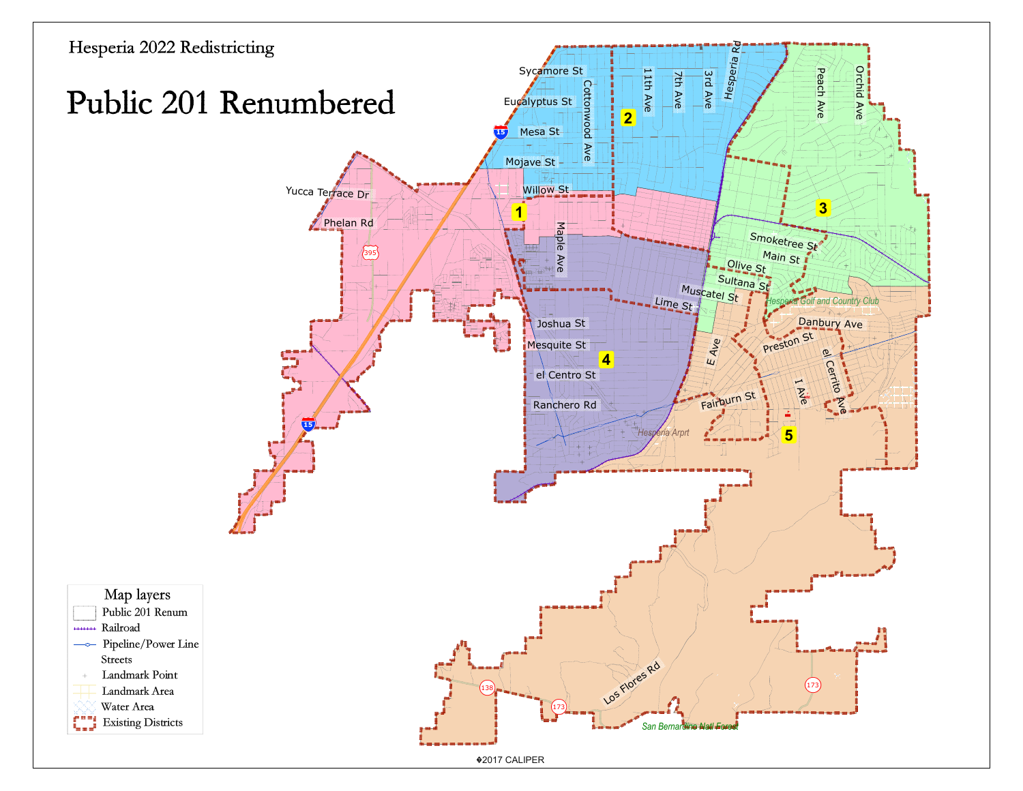